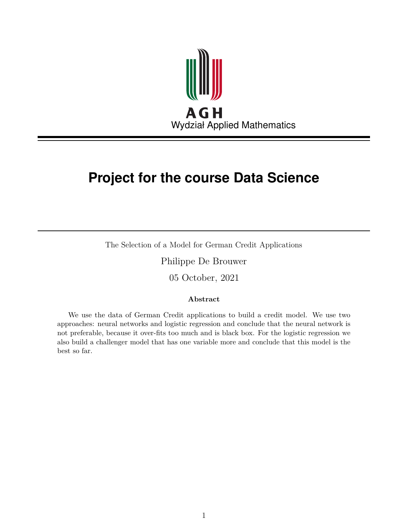

# **Project for the course Data Science**

The Selection of a Model for German Credit Applications

Philippe De Brouwer

05 October, 2021

#### **Abstract**

We use the data of German Credit applications to build a credit model. We use two approaches: neural networks and logistic regression and conclude that the neural network is not preferable, because it over-fits too much and is black box. For the logistic regression we also build a challenger model that has one variable more and conclude that this model is the best so far.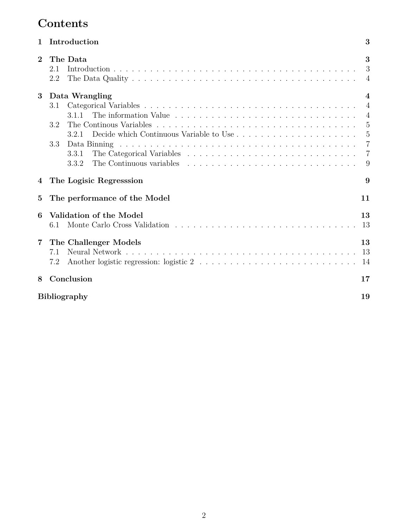# **Contents**

| $\mathbf{1}$   | Introduction                 | 3                        |
|----------------|------------------------------|--------------------------|
| $\overline{2}$ | The Data<br>2.1<br>2.2       | 3<br>3<br>$\overline{4}$ |
| 3              | Data Wrangling               | 4                        |
|                | 3.1                          | $\overline{4}$           |
|                | 3.1.1                        | $\overline{4}$           |
|                | 3.2                          | 5                        |
|                | 3.2.1                        | $\overline{5}$           |
|                | 3.3                          | $\overline{7}$           |
|                | 3.3.1                        | $\overline{7}$           |
|                | 3.3.2                        | 9                        |
| 4              | The Logisic Regresssion      | 9                        |
| $\bf{5}$       | The performance of the Model | 11                       |
| 6              | Validation of the Model      | 13                       |
|                | 6.1                          | 13                       |
| 7              | The Challenger Models        | 13                       |
|                | 7.1                          | 13                       |
|                | 7.2                          | 14                       |
| 8              | Conclusion                   | 17                       |
|                | <b>Bibliography</b>          | 19                       |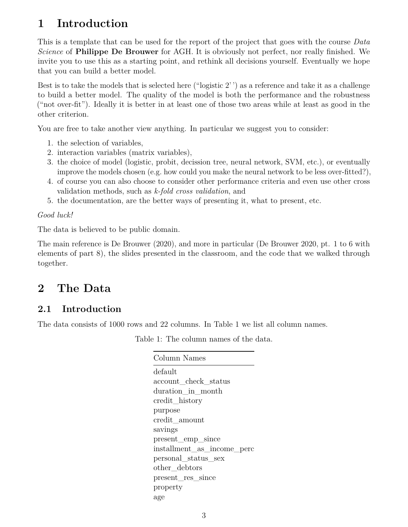# <span id="page-2-0"></span>**1 Introduction**

This is a template that can be used for the report of the project that goes with the course *Data Science* of **Philippe De Brouwer** for AGH. It is obviously not perfect, nor really finished. We invite you to use this as a starting point, and rethink all decisions yourself. Eventually we hope that you can build a better model.

Best is to take the models that is selected here ("logistic 2' ') as a reference and take it as a challenge to build a better model. The quality of the model is both the performance and the robustness ("not over-fit"). Ideally it is better in at least one of those two areas while at least as good in the other criterion.

You are free to take another view anything. In particular we suggest you to consider:

- 1. the selection of variables,
- 2. interaction variables (matrix variables),
- 3. the choice of model (logistic, probit, decission tree, neural network, SVM, etc.), or eventually improve the models chosen (e.g. how could you make the neural network to be less over-fitted?),
- 4. of course you can also choose to consider other performance criteria and even use other cross validation methods, such as *k-fold cross validation*, and
- 5. the documentation, are the better ways of presenting it, what to present, etc.

#### *Good luck!*

The data is believed to be public domain.

The main reference is De Brouwer (2020), and more in particular (De Brouwer 2020, pt. 1 to 6 with elements of part 8), the slides presented in the classroom, and the code that we walked through together.

## <span id="page-2-1"></span>**2 The Data**

### <span id="page-2-2"></span>**2.1 Introduction**

<span id="page-2-3"></span>The data consists of 1000 rows and 22 columns. In Table [1](#page-2-3) we list all column names.

Table 1: The column names of the data.

| Column Names               |
|----------------------------|
| default                    |
| account check status       |
| duration in month          |
| credit_history             |
| purpose                    |
| credit amount              |
| savings                    |
| present_emp_since          |
| installment_as_income_perc |
| personal status sex        |
| other debtors              |
| present_res_since          |
| property                   |
| age                        |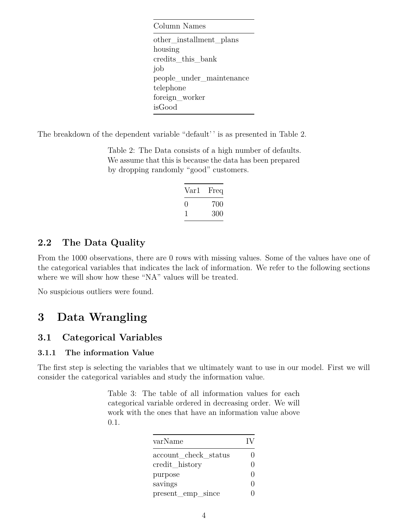Column Names other\_installment\_plans housing credits\_this\_bank job people\_under\_maintenance telephone foreign\_worker isGood

<span id="page-3-4"></span>The breakdown of the dependent variable "default" is as presented in Table [2.](#page-3-4)

Table 2: The Data consists of a high number of defaults. We assume that this is because the data has been prepared by dropping randomly "good" customers.

| Var1 | Freq |
|------|------|
| 0    | 700  |
|      | 300  |

### <span id="page-3-0"></span>**2.2 The Data Quality**

From the 1000 observations, there are 0 rows with missing values. Some of the values have one of the categorical variables that indicates the lack of information. We refer to the following sections where we will show how these "NA" values will be treated.

No suspicious outliers were found.

## <span id="page-3-1"></span>**3 Data Wrangling**

#### <span id="page-3-2"></span>**3.1 Categorical Variables**

#### <span id="page-3-3"></span>**3.1.1 The information Value**

The first step is selecting the variables that we ultimately want to use in our model. First we will consider the categorical variables and study the information value.

> Table 3: The table of all information values for each categorical variable ordered in decreasing order. We will work with the ones that have an information value above 0*.*1.

| varName              | $\mathbf{I}$ |
|----------------------|--------------|
| account_check_status |              |
| credit_history       | 0            |
| purpose              | $\mathbf{I}$ |
| savings              | $\Box$       |
| present_emp_since    |              |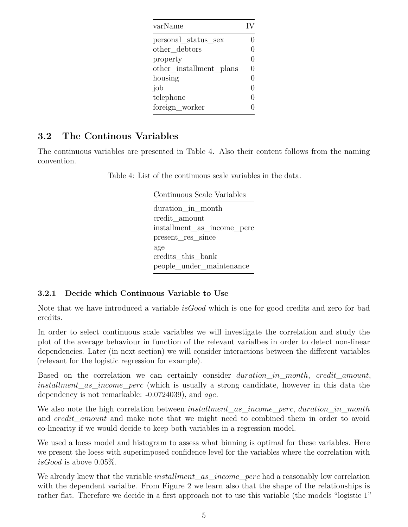| varName                  | IV |
|--------------------------|----|
| personal status sex      |    |
| other debtors            |    |
| property                 |    |
| other _installment_plans | 0  |
| housing                  |    |
| job                      | 0  |
| telephone                |    |
| foreign worker           |    |

### <span id="page-4-0"></span>**3.2 The Continous Variables**

<span id="page-4-2"></span>The continuous variables are presented in Table [4.](#page-4-2) Also their content follows from the naming convention.

Table 4: List of the continuous scale variables in the data.

Continuous Scale Variables duration\_in\_month credit\_amount installment\_as\_income\_perc present\_res\_since age credits\_this\_bank people\_under\_maintenance

#### <span id="page-4-1"></span>**3.2.1 Decide which Continuous Variable to Use**

Note that we have introduced a variable *isGood* which is one for good credits and zero for bad credits.

In order to select continuous scale variables we will investigate the correlation and study the plot of the average behaviour in function of the relevant varialbes in order to detect non-linear dependencies. Later (in next section) we will consider interactions between the different variables (relevant for the logistic regression for example).

Based on the correlation we can certainly consider *duration*\_*in*\_*month*, *credit*\_*amount*, *installment*\_*as*\_*income*\_*perc* (which is usually a strong candidate, however in this data the dependency is not remarkable: -0.0724039), and *age*.

We also note the high correlation between *installment*\_*as*\_*income*\_*perc*, *duration*\_*in*\_*month* and *credit*\_*amount* and make note that we might need to combined them in order to avoid co-linearity if we would decide to keep both variables in a regression model.

We used a loess model and histogram to assess what binning is optimal for these variables. Here we present the loess with superimposed confidence level for the variables where the correlation with *isGood* is above 0*.*05%.

We already knew that the variable *installment*\_*as*\_*income*\_*perc* had a reasonably low correlation with the dependent varialbe. From Figure [2](#page-5-0) we learn also that the shape of the relationships is rather flat. Therefore we decide in a first approach not to use this variable (the models "logistic 1"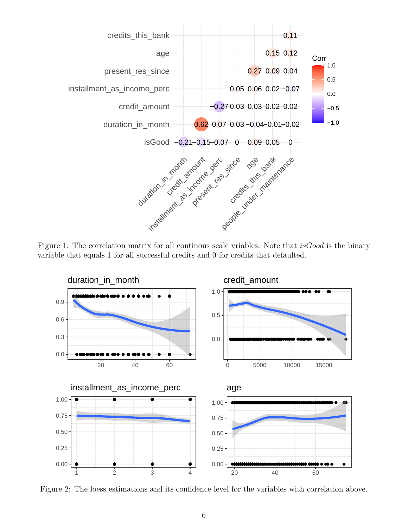

Figure 1: The correlation matrix for all continous scale vriables. Note that *isGood* is the binary variable that equals 1 for all successful credits and 0 for credits that defaulted.



<span id="page-5-0"></span>Figure 2: The loess estimations and its confidence level for the variables with correlation above.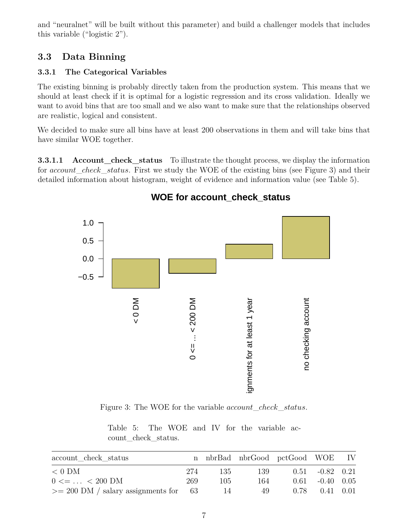and "neuralnet" will be built without this parameter) and build a challenger models that includes this variable ("logistic 2").

### <span id="page-6-0"></span>**3.3 Data Binning**

### <span id="page-6-1"></span>**3.3.1 The Categorical Variables**

The existing binning is probably directly taken from the production system. This means that we should at least check if it is optimal for a logistic regression and its cross validation. Ideally we want to avoid bins that are too small and we also want to make sure that the relationships observed are realistic, logical and consistent.

We decided to make sure all bins have at least 200 observations in them and will take bins that have similar WOE together.

**3.3.1.1** Account check status To illustrate the thought process, we display the information for *account*\_*check*\_*status*. First we study the WOE of the existing bins (see Figure [3\)](#page-6-2) and their detailed information about histogram, weight of evidence and information value (see Table [5\)](#page-6-3).



## **WOE for account\_check\_status**

<span id="page-6-2"></span>Figure 3: The WOE for the variable *account*\_*check*\_*status*.

Table 5: The WOE and IV for the variable account\_check\_status.

<span id="page-6-3"></span>

| account check status                       |     |     | n nbrBad nbrGood pctGood WOE IV |                      |  |
|--------------------------------------------|-----|-----|---------------------------------|----------------------|--|
| $< 0$ DM                                   | 274 | 135 | 139                             | $0.51 -0.82 0.21$    |  |
| $0 \leq \dots \leq 200 \text{ DM}$         | 269 | 105 | 164                             | $0.61 - 0.40 0.05$   |  |
| $\ge$ = 200 DM / salary assignments for 63 |     | 14  | 49                              | $0.78$ $0.41$ $0.01$ |  |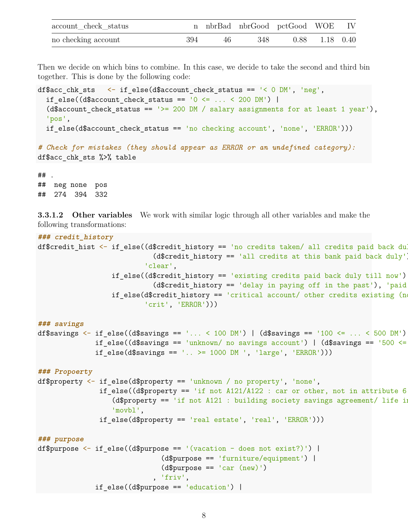| account check status |     |      | n nbrBad nbrGood pctGood WOE IV |                  |  |
|----------------------|-----|------|---------------------------------|------------------|--|
| no checking account  | 394 | 46 I | -348                            | $0.88$ 1.18 0.40 |  |

Then we decide on which bins to combine. In this case, we decide to take the second and third bin together. This is done by the following code:

```
df$acc_chk_sts <- if_else(d$account_check_status == '< 0 DM', 'neg',
  if_else((d$account\_check\_status == '0 \le ... \le 200 DM') |
  (d$account check status == '>= 200 DM / salary assignments for at least 1 year'),
  'pos',
  if else(d$account check status == 'no checking account', 'none', 'ERROR')))
```
*# Check for mistakes (they should appear as ERROR or an undefined category):* df\$acc\_chk\_sts %>% table

## . ## neg none pos ## 274 394 332

**3.3.1.2 Other variables** We work with similar logic through all other variables and make the following transformations:

```
### credit_history
df $credit hist \leq if else((d$credit history == 'no credits taken/ all credits paid back duly
                             (d$credit_history == 'all credits at this bank paid back duty'.'clear',
                  if else((d$credit history == 'existing credits paid back duly till now')
                             (d$credit_history == 'delay in paying off in the past'), 'paid',
                  if\_else (d$credit_history == 'critical account/ other credits existing (not
                           'crit', 'ERROR')))
### savings
df$savings \leq if else((d$savings == '... \leq 100 DM') | (d$savings == '100 \leq ... \leq 500 DM')
              if else((d$savings == 'unknown/ no savings account') | (d$savings == '500 <=
              if else(d$savings == '.. >= 1000 DM ', 'large', 'ERROR')))
### Propoerty
df$property <- if_else(d$property == 'unknown / no property', 'none',
               if else((d$property == 'if not A121/A122 : car or other, not in attribute 6
                  (d$ property == 'if not A121 : building society savings agreement/ life in)'movbl',
               if_else(d$property == 'real estate', 'real', 'ERROR')))
### purpose
df$purpose <- if else((d$purpose == '(vacation - does not exist?)') |
                               (d$purpose == 'furniture/equipment') |
                               (d$purepose == 'car (new)'), 'friv',
```

```
if else((d$purpose == 'education') |
```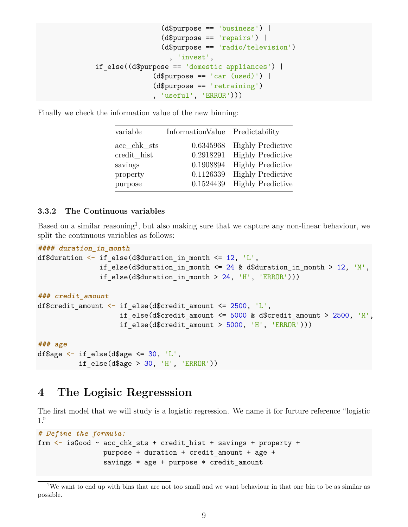```
(d$purpose == 'business') |
                (d$purpose == 'repairs') |
                 (d$purpose == 'radio/television')
                  , 'invest',
if else((d$purpose == 'domestic applications') |
              (d$purpose == 'car (used)') |
              (d$purpose == 'retraining')
               , 'useful', 'ERROR')))
```
Finally we check the information value of the new binning:

| variable       | InformationValue Predictability |                          |
|----------------|---------------------------------|--------------------------|
| $acc_chk\_sts$ | 0.6345968                       | <b>Highly Predictive</b> |
| credit hist    | 0.2918291                       | <b>Highly Predictive</b> |
| savings        | 0.1908894                       | <b>Highly Predictive</b> |
| property       | 0.1126339                       | <b>Highly Predictive</b> |
| purpose        | 0.1524439                       | <b>Highly Predictive</b> |

#### <span id="page-8-0"></span>**3.3.2 The Continuous variables**

Based on a similar reasoning<sup>[1](#page-8-2)</sup>, but also making sure that we capture any non-linear behaviour, we split the continuous variables as follows:

```
#### duration_in_month
df$duration \leq if else(d$duration in month \leq 12, 'L',
               if else(d$duration in month \leq 24 & d$duration in month > 12, 'M',
               if else(d$duration in month > 24, 'H', 'ERROR')))
```

```
### credit_amount
```

```
df$credit_amount <- if_else(d$credit_amount <= 2500, 'L',
                    if else(d$credit amount \leq 5000 & d$credit amount > 2500, 'M',
                    if else(d$credit amount > 5000, 'H', 'ERROR')))
```
**### age** df\$age  $\leq$  if else(d\$age  $\leq$  30, 'L', if else(d\$age > 30, 'H', 'ERROR'))

## <span id="page-8-1"></span>**4 The Logisic Regresssion**

The first model that we will study is a logistic regression. We name it for furture reference "logistic 1."

```
# Define the formula:
frm \leq is Good \sim acc chk sts + credit hist + savings + property +
                purpose + duration + credit_amount + age +
                savings * age + purpose * credit amount
```
<span id="page-8-2"></span><sup>1</sup>We want to end up with bins that are not too small and we want behaviour in that one bin to be as similar as possible.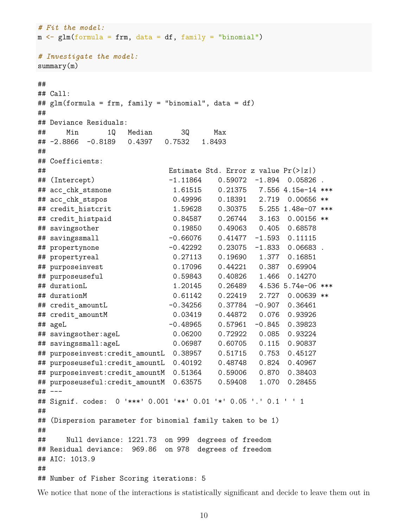```
# Fit the model:
m \leq glm(formula = frm, data = df, family = "binomial")
# Investigate the model:
summary(m)
##
## Call:
## glm(formula = frm, family = "binomial", data = df)
##
## Deviance Residuals:
## Min 1Q Median 3Q Max
## -2.8866 -0.8189 0.4397 0.7532 1.8493
##
## Coefficients:
## Estimate Std. Error z value Pr(>|z|)
## (Intercept) -1.11864 0.59072 -1.894 0.05826 .
## acc_chk_stsnone 1.61515 0.21375 7.556 4.15e-14 ***
## acc_chk_stspos 0.49996 0.18391 2.719 0.00656 **
## credit_histcrit 1.59628 0.30375 5.255 1.48e-07 ***
## credit_histpaid 0.84587 0.26744 3.163 0.00156 **
## savingsother 0.19850 0.49063 0.405 0.68578
## savingssmall -0.66076 0.41477 -1.593 0.11115
## propertynone -0.42292 0.23075 -1.833 0.06683 .
## propertyreal 0.27113 0.19690 1.377 0.16851
## purposeinvest 0.17096 0.44221 0.387 0.69904
## purposeuseful 0.59843 0.40826 1.466 0.14270
## durationL 1.20145 0.26489 4.536 5.74e-06 ***
## durationM 0.61142 0.22419 2.727 0.00639 **
## credit_amountL -0.34256 0.37784 -0.907 0.36461
## credit_amountM 0.03419 0.44872 0.076 0.93926
## ageL -0.48965 0.57961 -0.845 0.39823
## savingsother:ageL 0.06200 0.72922 0.085 0.93224
## savingssmall:ageL 0.06987 0.60705 0.115 0.90837
## purposeinvest:credit_amountL 0.38957 0.51715 0.753 0.45127
## purposeuseful:credit_amountL 0.40192 0.48748 0.824 0.40967
## purposeinvest:credit_amountM 0.51364 0.59006 0.870 0.38403
## purposeuseful:credit_amountM 0.63575 0.59408 1.070 0.28455
## ---
## Signif. codes: 0 '***' 0.001 '**' 0.01 '*' 0.05 '.' 0.1 ' ' 1
##
## (Dispersion parameter for binomial family taken to be 1)
##
## Null deviance: 1221.73 on 999 degrees of freedom
## Residual deviance: 969.86 on 978 degrees of freedom
## AIC: 1013.9
##
## Number of Fisher Scoring iterations: 5
```
We notice that none of the interactions is statistically significant and decide to leave them out in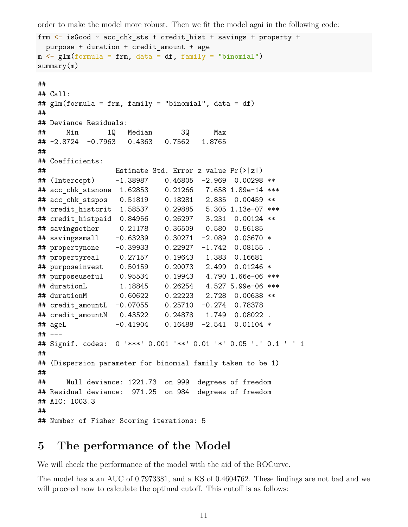order to make the model more robust. Then we fit the model agai in the following code:

```
frm \le is Good \sim acc chk sts + credit hist + savings + property +
 purpose + duration + credit_amount + age
m \leq glm(formula = frm, data = df, family = "binomial")
summary(m)
##
## Call:
## glm(formula = frm, family = "binomial", data = df)
##
## Deviance Residuals:
## Min 1Q Median 3Q Max
## -2.8724 -0.7963 0.4363 0.7562 1.8765
##
## Coefficients:
## Estimate Std. Error z value Pr(>|z|)
## (Intercept) -1.38987 0.46805 -2.969 0.00298 **
## acc_chk_stsnone 1.62853 0.21266 7.658 1.89e-14 ***
## acc_chk_stspos 0.51819 0.18281 2.835 0.00459 **
## credit_histcrit 1.58537 0.29885 5.305 1.13e-07 ***
## credit_histpaid 0.84956 0.26297 3.231 0.00124 **
## savingsother 0.21178 0.36509 0.580 0.56185
## savingssmall -0.63239 0.30271 -2.089 0.03670 *
## propertynone -0.39933 0.22927 -1.742 0.08155 .
## propertyreal 0.27157 0.19643 1.383 0.16681
## purposeinvest 0.50159 0.20073 2.499 0.01246 *
## purposeuseful 0.95534 0.19943 4.790 1.66e-06 ***
## durationL 1.18845 0.26254 4.527 5.99e-06 ***
## durationM 0.60622 0.22223 2.728 0.00638 **
## credit_amountL -0.07055 0.25710 -0.274 0.78378
## credit amountM 0.43522 0.24878 1.749 0.08022.
## ageL -0.41904 0.16488 -2.541 0.01104 *
## ---
## Signif. codes: 0 '***' 0.001 '**' 0.01 '*' 0.05 '.' 0.1 ' ' 1
##
## (Dispersion parameter for binomial family taken to be 1)
##
## Null deviance: 1221.73 on 999 degrees of freedom
## Residual deviance: 971.25 on 984 degrees of freedom
## AIC: 1003.3
##
## Number of Fisher Scoring iterations: 5
```
## <span id="page-10-0"></span>**5 The performance of the Model**

We will check the performance of the model with the aid of the ROCurve.

The model has a an AUC of 0.7973381, and a KS of 0.4604762. These findings are not bad and we will proceed now to calculate the optimal cutoff. This cutoff is as follows: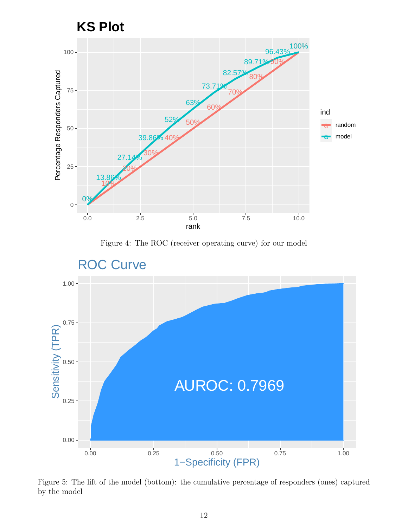





Figure 5: The lift of the model (bottom): the cumulative percentage of responders (ones) captured by the model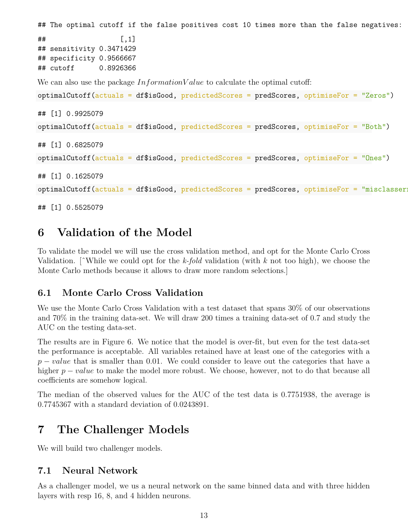```
## The optimal cutoff if the false positives cost 10 times more than the false negatives:
\# # \qquad \qquad \qquad \left[ \begin{array}{c} 1 \end{array} \right]## sensitivity 0.3471429
## specificity 0.9566667
## cutoff 0.8926366
We can also use the package InformationV alue to calculate the optimal cutoff:
optimalCutoff(actuals = df$isGood, predictedScores = predScores, optimiseFor = "Zeros")
## [1] 0.9925079
optimalCutoff(actuals = df$isGood, predictedScores = predScores, optimiseFor = "Both")
## [1] 0.6825079
optimalCutoff(actuals = df$isGood, predictedScores = predScores, optimiseFor = "Ones")
## [1] 0.1625079
optimalCutoff(actuals = df$isGood, predictedScores = predScores, optimiseFor = "misclasser:
```

```
## [1] 0.5525079
```
# <span id="page-12-0"></span>**6 Validation of the Model**

To validate the model we will use the cross validation method, and opt for the Monte Carlo Cross Validation. [ˆWhile we could opt for the *k-fold* validation (with *k* not too high), we choose the Monte Carlo methods because it allows to draw more random selections.]

### <span id="page-12-1"></span>**6.1 Monte Carlo Cross Validation**

We use the Monte Carlo Cross Validation with a test dataset that spans 30% of our observations and 70% in the training data-set. We will draw 200 times a training data-set of 0.7 and study the AUC on the testing data-set.

The results are in Figure [6.](#page-13-1) We notice that the model is over-fit, but even for the test data-set the performance is acceptable. All variables retained have at least one of the categories with a *p* − *value* that is smaller than 0.01. We could consider to leave out the categories that have a higher *p* − *value* to make the model more robust. We choose, however, not to do that because all coefficients are somehow logical.

The median of the observed values for the AUC of the test data is 0.7751938, the average is 0.7745367 with a standard deviation of 0.0243891.

## <span id="page-12-2"></span>**7 The Challenger Models**

We will build two challenger models.

### <span id="page-12-3"></span>**7.1 Neural Network**

As a challenger model, we us a neural network on the same binned data and with three hidden layers with resp 16, 8, and 4 hidden neurons.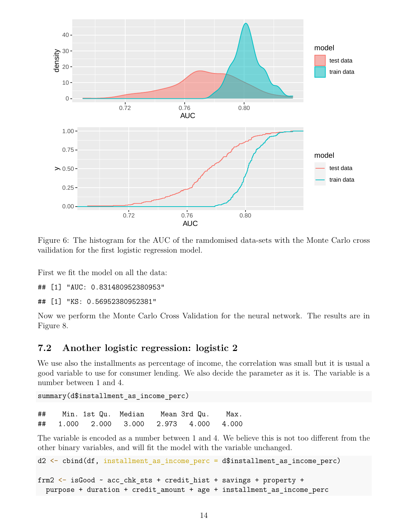

<span id="page-13-1"></span>Figure 6: The histogram for the AUC of the ramdomised data-sets with the Monte Carlo cross vailidation for the first logistic regression model.

First we fit the model on all the data:

## [1] "AUC: 0.831480952380953"

## [1] "KS: 0.56952380952381"

Now we perform the Monte Carlo Cross Validation for the neural network. The results are in Figure [8.](#page-14-0)

#### <span id="page-13-0"></span>**7.2 Another logistic regression: logistic 2**

We use also the installments as percentage of income, the correlation was small but it is usual a good variable to use for consumer lending. We also decide the parameter as it is. The variable is a number between 1 and 4.

summary(d\$installment as income perc)

## Min. 1st Qu. Median Mean 3rd Qu. Max. ## 1.000 2.000 3.000 2.973 4.000 4.000

The variable is encoded as a number between 1 and 4. We believe this is not too different from the other binary variables, and will fit the model with the variable unchanged.

```
d2 <- cbind(df, installment_as_income_perc = d$installment_as_income_perc)
```

```
frm2 <- isGood - acc chk sts + credit hist + savings + property +
 purpose + duration + credit_amount + age + installment_as_income_perc
```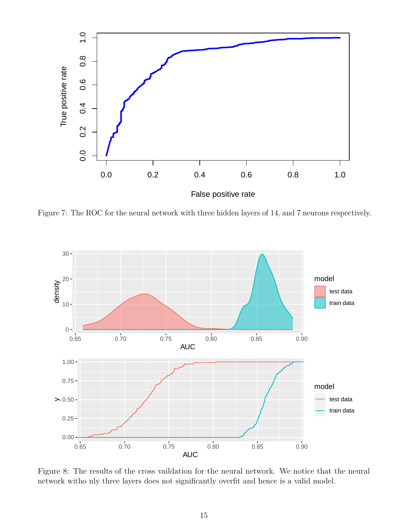

Figure 7: The ROC for the neural network with three hidden layers of 14, and 7 neurons respectively.



<span id="page-14-0"></span>Figure 8: The results of the cross vaildation for the neural network. We notice that the neural network witho nly three layers does not significantly overfit and hence is a valid model.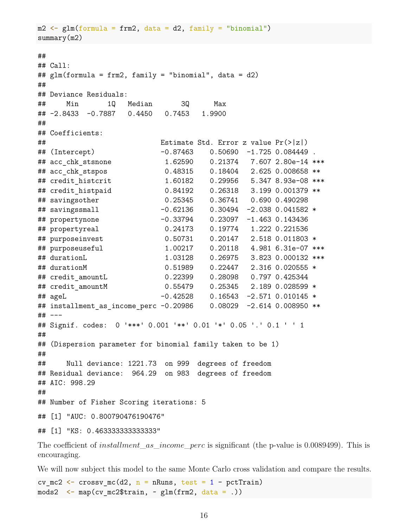```
m2 \leq glm(formula = frm2, data = d2, family = "binomial")
summary(m2)
##
## Call:
## glm(formula = frm2, family = "binomial", data = d2)
##
## Deviance Residuals:
## Min 1Q Median 3Q Max
## -2.8433 -0.7887 0.4450 0.7453 1.9900
##
## Coefficients:
## Estimate Std. Error z value Pr(>|z|)
## (Intercept) -0.87463 0.50690 -1.725 0.084449 .
## acc_chk_stsnone 1.62590 0.21374 7.607 2.80e-14 ***
## acc chk stspos 0.48315 0.18404 2.625 0.008658 **
## credit_histcrit 1.60182 0.29956 5.347 8.93e-08 ***
## credit_histpaid 0.84192 0.26318 3.199 0.001379 **
## savingsother 0.25345 0.36741 0.690 0.490298
## savingssmall -0.62136 0.30494 -2.038 0.041582 *
## propertynone -0.33794 0.23097 -1.463 0.143436
## propertyreal 0.24173 0.19774 1.222 0.221536
## purposeinvest 0.50731 0.20147 2.518 0.011803 *
## purposeuseful 1.00217 0.20118 4.981 6.31e-07 ***
## durationL 1.03128 0.26975 3.823 0.000132 ***
## durationM 0.51989 0.22447 2.316 0.020555 *
## credit_amountL 0.22399 0.28098 0.797 0.425344
## credit_amountM 0.55479 0.25345 2.189 0.028599 *
## ageL -0.42528 0.16543 -2.571 0.010145 *
## installment_as_income_perc -0.20986 0.08029 -2.614 0.008950 **
## ---
## Signif. codes: 0 '***' 0.001 '**' 0.01 '*' 0.05 '.' 0.1 ' ' 1
##
## (Dispersion parameter for binomial family taken to be 1)
##
## Null deviance: 1221.73 on 999 degrees of freedom
## Residual deviance: 964.29 on 983 degrees of freedom
## AIC: 998.29
##
## Number of Fisher Scoring iterations: 5
## [1] "AUC: 0.800790476190476"
## [1] "KS: 0.463333333333333"
```
The coefficient of *installment*\_*as*\_*income*\_*perc* is significant (the p-value is 0.0089499). This is encouraging.

We will now subject this model to the same Monte Carlo cross validation and compare the results.

cv mc2  $\leftarrow$  crossv mc(d2, n = nRuns, test = 1 - pctTrain)  $mods2 \leq max(cv_mc2\$ train,  $\sim glm(frm2, data = .))$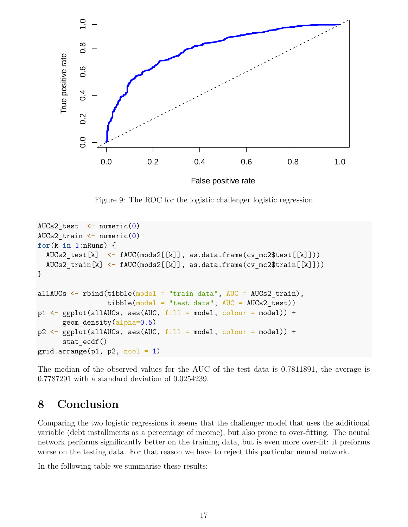

Figure 9: The ROC for the logistic challenger logistic regression

```
AUCs2 test \leq numeric(0)
AUCs2 train \leq numeric(0)
for(k in 1:nRuns) {
  AUCs2 test[k] \leftarrow fAUC(mods2[[k]], as.data.frame(cv mc2$test[[k]]))
  AUCs2 train[k] <- fAUC(mods2[[k]], as.data.frame(cv mc2$train[[k]]))
}
allAUCs \leq rbind(tibble(model = "train data", AUC = AUCs2 train),
                  tibble(model = "test data", AUC = AUCs2 test)p1 \leftarrow ggplot(al1AUCs, aes(AUC, fill = model, colour = model)) +geom_density(alpha=0.5)
p2 \leq - ggplot(allAUCs, aes(AUC, fill = model, colour = model)) +
      stat ecdf()
grid.arrange(p1, p2, ncol = 1)
```
The median of the observed values for the AUC of the test data is 0.7811891, the average is 0.7787291 with a standard deviation of 0.0254239.

## <span id="page-16-0"></span>**8 Conclusion**

Comparing the two logistic regressions it seems that the challenger model that uses the additional variable (debt installments as a percentage of income), but also prone to over-fitting. The neural network performs significantly better on the training data, but is even more over-fit: it preforms worse on the testing data. For that reason we have to reject this particular neural network.

In the following table we summarise these results: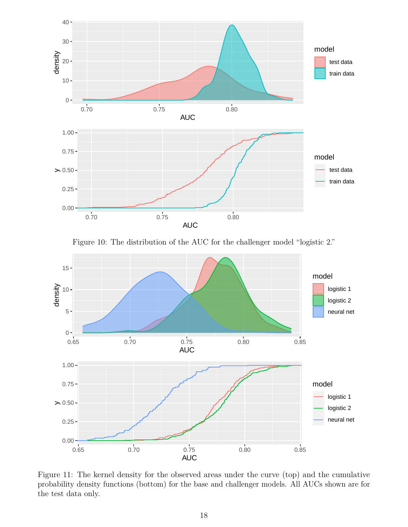

Figure 10: The distribution of the AUC for the challenger model "logistic 2."



Figure 11: The kernel density for the observed areas under the curve (top) and the cumulative probability density functions (bottom) for the base and challenger models. All AUCs shown are for the test data only.